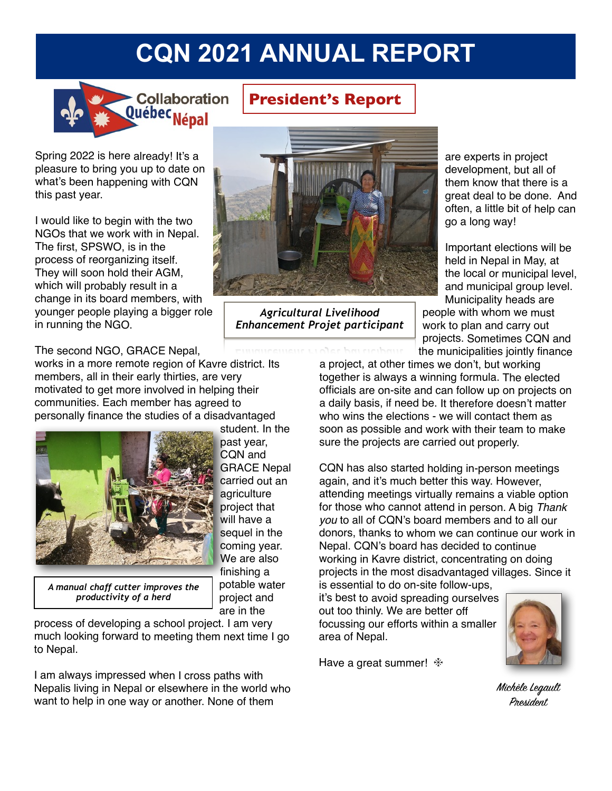# **CQN 2021 ANNUAL REPORT**



**President's Report**

Spring 2022 is here already! It's a pleasure to bring you up to date on what's been happening with CQN this past year.

I would like to begin with the two NGOs that we work with in Nepal. The first, SPSWO, is in the process of reorganizing itself. They will soon hold their AGM, which will probably result in a change in its board members, with younger people playing a bigger role in running the NGO.

The second NGO, GRACE Nepal,

works in a more remote region of Kavre district. Its members, all in their early thirties, are very motivated to get more involved in helping their communities. Each member has agreed to personally finance the studies of a disadvantaged



student. In the past year, CQN and GRACE Nepal carried out an agriculture project that will have a sequel in the coming year. We are also finishing a potable water project and are in the

*A manual chaff cutter improves the productivity of a herd*

process of developing a school project. I am very much looking forward to meeting them next time I go to Nepal.

I am always impressed when I cross paths with Nepalis living in Nepal or elsewhere in the world who want to help in one way or another. None of them



*Agricultural Livelihood Enhancement Projet participant* are experts in project development, but all of them know that there is a great deal to be done. And often, a little bit of help can go a long way!

Important elections will be held in Nepal in May, at the local or municipal level, and municipal group level.

Municipality heads are people with whom we must work to plan and carry out projects. Sometimes CQN and the municipalities jointly finance

a project, at other times we don't, but working together is always a winning formula. The elected officials are on-site and can follow up on projects on a daily basis, if need be. It therefore doesn't matter who wins the elections - we will contact them as soon as possible and work with their team to make sure the projects are carried out properly.

CQN has also started holding in-person meetings again, and it's much better this way. However, attending meetings virtually remains a viable option for those who cannot attend in person. A big *Thank you* to all of CQN's board members and to all our donors, thanks to whom we can continue our work in Nepal. CQN's board has decided to continue working in Kavre district, concentrating on doing projects in the most disadvantaged villages. Since it is essential to do on-site follow-ups,

it's best to avoid spreading ourselves out too thinly. We are better off focussing our efforts within a smaller area of Nepal.

Have a great summer!  $*$ 



Michèle Legault President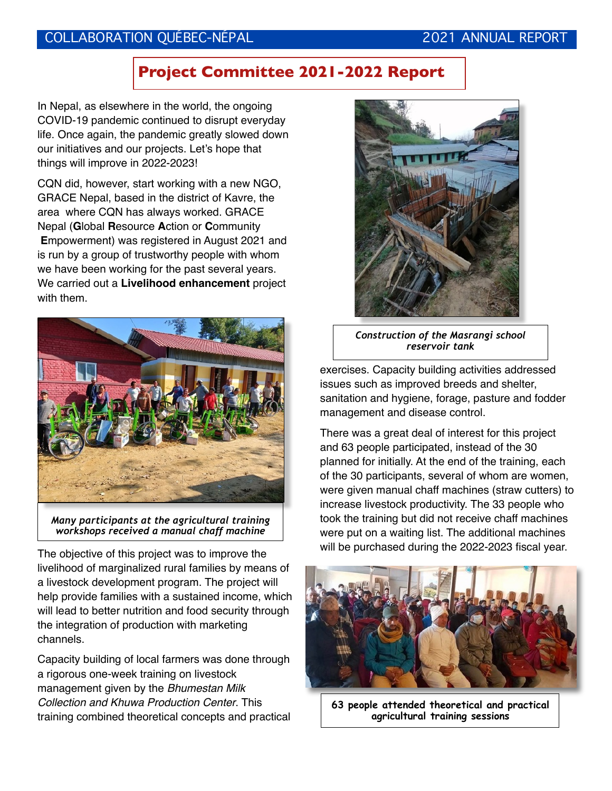#### COLLABORATION QUÉBEC-NÉPAL 2021 ANNUAL REPORT

### **Project Committee 2021-2022 Report**

In Nepal, as elsewhere in the world, the ongoing COVID-19 pandemic continued to disrupt everyday life. Once again, the pandemic greatly slowed down our initiatives and our projects. Let's hope that things will improve in 2022-2023!

CQN did, however, start working with a new NGO, GRACE Nepal, based in the district of Kavre, the area where CQN has always worked. GRACE Nepal (**G**lobal **R**esource **A**ction or **C**ommunity **E**mpowerment) was registered in August 2021 and is run by a group of trustworthy people with whom we have been working for the past several years. We carried out a **Livelihood enhancement** project with them.



*Many participants at the agricultural training workshops received a manual chaff machine*

The objective of this project was to improve the livelihood of marginalized rural families by means of a livestock development program. The project will help provide families with a sustained income, which will lead to better nutrition and food security through the integration of production with marketing channels.

Capacity building of local farmers was done through a rigorous one-week training on livestock management given by the *Bhumestan Milk Collection and Khuwa Production Center*. This training combined theoretical concepts and practical



*Construction of the Masrangi school reservoir tank*

exercises. Capacity building activities addressed issues such as improved breeds and shelter, sanitation and hygiene, forage, pasture and fodder management and disease control.

There was a great deal of interest for this project and 63 people participated, instead of the 30 planned for initially. At the end of the training, each of the 30 participants, several of whom are women, were given manual chaff machines (straw cutters) to increase livestock productivity. The 33 people who took the training but did not receive chaff machines were put on a waiting list. The additional machines will be purchased during the 2022-2023 fiscal year.



**63 people attended theoretical and practical agricultural training sessions**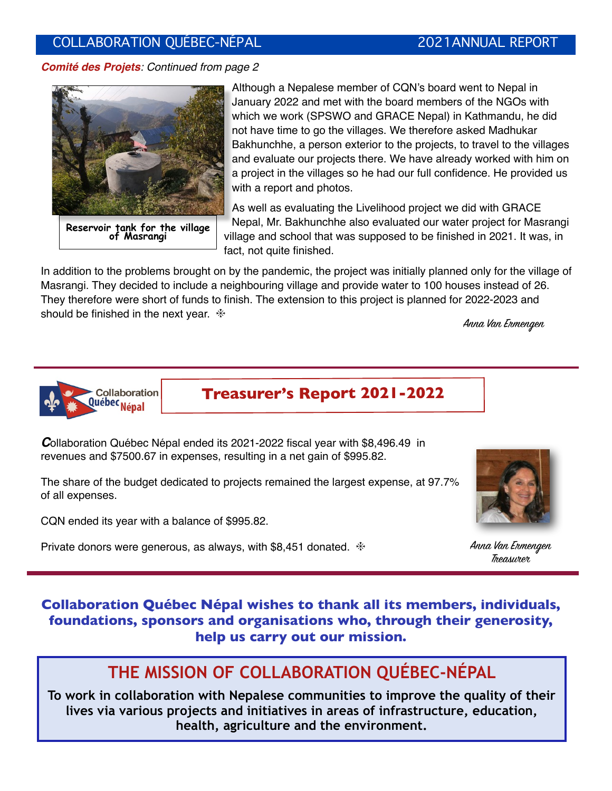#### COLLABORATION QUÉBEC-NÉPAL 2021ANNUAL REPORT

*Comité des Projets: Continued from page 2*



**Reservoir tank for the village of Masrangi**

Although a Nepalese member of CQN's board went to Nepal in January 2022 and met with the board members of the NGOs with which we work (SPSWO and GRACE Nepal) in Kathmandu, he did not have time to go the villages. We therefore asked Madhukar Bakhunchhe, a person exterior to the projects, to travel to the villages and evaluate our projects there. We have already worked with him on a project in the villages so he had our full confidence. He provided us with a report and photos.

As well as evaluating the Livelihood project we did with GRACE Nepal, Mr. Bakhunchhe also evaluated our water project for Masrangi village and school that was supposed to be finished in 2021. It was, in fact, not quite finished.

In addition to the problems brought on by the pandemic, the project was initially planned only for the village of Masrangi. They decided to include a neighbouring village and provide water to 100 houses instead of 26. They therefore were short of funds to finish. The extension to this project is planned for 2022-2023 and should be finished in the next year.  $*$ 

Anna Van Ermengen



**Treasurer's Report 2021-2022**

*C*ollaboration Québec Népal ended its 2021-2022 fiscal year with \$8,496.49 in revenues and \$7500.67 in expenses, resulting in a net gain of \$995.82.

The share of the budget dedicated to projects remained the largest expense, at 97.7% of all expenses.

CQN ended its year with a balance of \$995.82.

Private donors were generous, as always, with \$8,451 donated.  $*$  Anna Van Exmengen



Treasurer

#### **Collaboration Québec Népal wishes to thank all its members, individuals, foundations, sponsors and organisations who, through their generosity, help us carry out our mission.**

## **THE MISSION OF COLLABORATION QUÉBEC-NÉPAL**

**To work in collaboration with Nepalese communities to improve the quality of their lives via various projects and initiatives in areas of infrastructure, education, health, agriculture and the environment.**